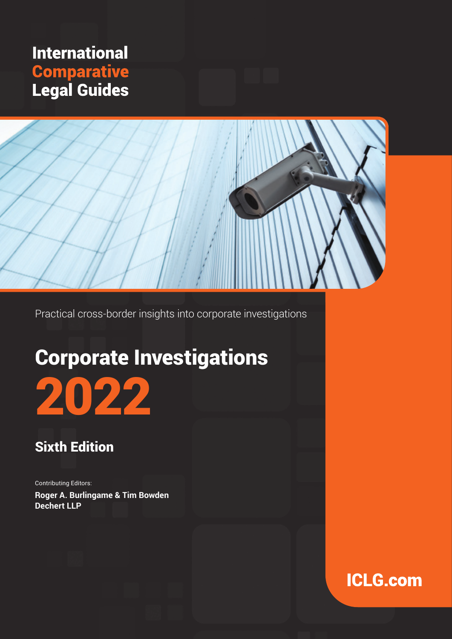# **International Comparative**<br>Legal Guides



Practical cross-border insights into corporate investigations

# Corporate Investigations

# 2022

### Sixth Edition

Contributing Editors: **Roger A. Burlingame & Tim Bowden Dechert LLP**

### **ICLG.com**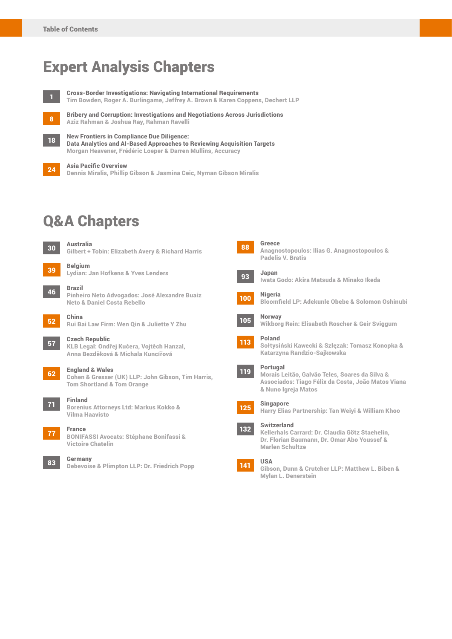### Expert Analysis Chapters

New Frontiers in Compliance Due Diligence:



**1** Cross-Border Investigations: Navigating International Requirements Tim Bowden, Roger A. Burlingame, Jeffrey A. Brown & Karen Coppens, Dechert LLP

8

Bribery and Corruption: Investigations and Negotiations Across Jurisdictions Aziz Rahman & Joshua Ray, Rahman Ravelli

18

Data Analytics and AI-Based Approaches to Reviewing Acquisition Targets Morgan Heavener, Frédéric Loeper & Darren Mullins, Accuracy

24 Asia Pacific Overview Dennis Miralis, Phillip Gibson & Jasmina Ceic, Nyman Gibson Miralis

### Q&A Chapters



Gilbert + Tobin: Elizabeth Avery & Richard Harris

<sup>39</sup> Belgium Lydian: Jan Hofkens & Yves Lenders

46 Brazil Pinheiro Neto Advogados: José Alexandre Buaiz Neto & Daniel Costa Rebello



### <sup>52</sup> China Rui Bai Law Firm: Wen Qin & Juliette Y Zhu

57 **– Czech Republic**<br>Karl Balegal: Ondřej Kučera, Vojtěch Hanzal, Anna Bezděková & Michala Kuncířová

#### <sup>62</sup> England & Wales

Cohen & Gresser (UK) LLP: John Gibson, Tim Harris, Tom Shortland & Tom Orange



<sup>71</sup> Finland Borenius Attorneys Ltd: Markus Kokko & Vilma Haavisto



<sup>77</sup> France BONIFASSI Avocats: Stéphane Bonifassi &

Victoire Chatelin

<sup>83</sup> Germany Debevoise & Plimpton LLP: Dr. Friedrich Popp



#### <sup>88</sup> Greece Anagnostopoulos: Ilias G. Anagnostopoulos & Padelis V. Bratis



Iwata Godo: Akira Matsuda & Minako Ikeda



Bloomfield LP: Adekunle Obebe & Solomon Oshinubi



## <sup>105</sup> Norway Wikborg Rein: Elisabeth Roscher & Geir Sviggum





Morais Leitão, Galvão Teles, Soares da Silva & Associados: Tiago Félix da Costa, João Matos Viana & Nuno Igreja Matos



<sup>125</sup> Singapore Harry Elias Partnership: Tan Weiyi & William Khoo

<sup>132</sup> Switzerland Kellerhals Carrard: Dr. Claudia Götz Staehelin, Dr. Florian Baumann, Dr. Omar Abo Youssef & Marlen Schultze



Gibson, Dunn & Crutcher LLP: Matthew L. Biben & Mylan L. Denerstein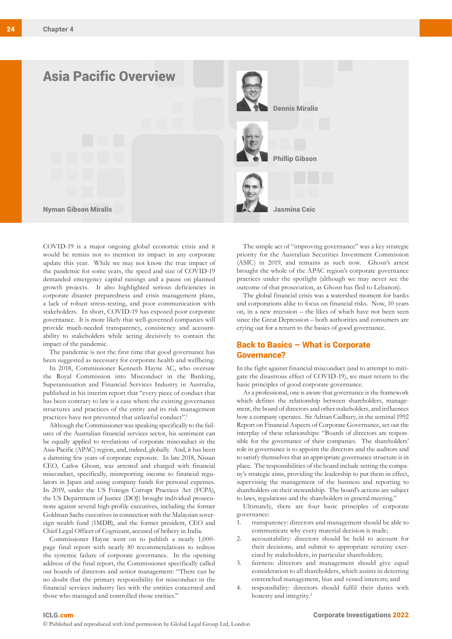

COVID-19 is a major ongoing global economic crisis and it would be remiss not to mention its impact in any corporate update this year. While we may not know the true impact of the pandemic for some years, the speed and size of COVID-19 demanded emergency capital raisings and a pause on planned growth projects. It also highlighted serious deficiencies in corporate disaster preparedness and crisis management plans, a lack of robust stress-testing, and poor communication with stakeholders. In short, COVID-19 has exposed poor corporate governance. It is more likely that well-governed companies will provide much-needed transparency, consistency and accountability to stakeholders while acting decisively to contain the impact of the pandemic.

The pandemic is not the first time that good governance has been suggested as necessary for corporate health and wellbeing.

In 2018, Commissioner Kenneth Hayne AC, who oversaw the Royal Commission into Misconduct in the Banking, Superannuation and Financial Services Industry in Australia, published in his interim report that "every piece of conduct that has been contrary to law is a case where the existing governance structures and practices of the entity and its risk management practices have not prevented that unlawful conduct".<sup>1</sup>

Although the Commissioner was speaking specifically to the failures of the Australian financial services sector, his sentiment can be equally applied to revelations of corporate misconduct in the Asia-Pacific (APAC) region, and, indeed, globally. And, it has been a damning few years of corporate exposure. In late 2018, Nissan CEO, Carlos Ghosn, was arrested and charged with financial misconduct, specifically, misreporting income to financial regulators in Japan and using company funds for personal expenses. In 2019, under the US Foreign Corrupt Practices Act (FCPA), the US Department of Justice (DOJ) brought individual prosecutions against several high-profile executives, including the former Goldman Sachs executives in connection with the Malaysian sovereign wealth fund (1MDB), and the former president, CEO and Chief Legal Officer of Cognizant, accused of bribery in India.

Commissioner Hayne went on to publish a nearly 1,000 page final report with nearly 80 recommendations to redress the systemic failure of corporate governance. In the opening address of the final report, the Commissioner specifically called out boards of directors and senior management: "There can be no doubt that the primary responsibility for misconduct in the financial services industry lies with the entities concerned and those who managed and controlled those entities."

The simple act of "improving governance" was a key strategic priority for the Australian Securities Investment Commission (ASIC) in 2019, and remains as such now. Ghosn's arrest brought the whole of the APAC region's corporate governance practices under the spotlight (although we may never see the outcome of that prosecution, as Ghosn has fled to Lebanon).

The global financial crisis was a watershed moment for banks and corporations alike to focus on financial risks. Now, 10 years on, in a new recession – the likes of which have not been seen since the Great Depression – both authorities and consumers are crying out for a return to the basics of good governance.

#### Back to Basics – What is Corporate Governance?

In the fight against financial misconduct (and to attempt to mitigate the disastrous effect of COVID-19), we must return to the basic principles of good corporate governance.

As a professional, one is aware that governance is the framework which defines the relationship between shareholders, management, the board of directors and other stakeholders, and influences how a company operates. Sir Adrian Cadbury, in the seminal 1992 Report on Financial Aspects of Corporate Governance, set out the interplay of these relationships: "Boards of directors are responsible for the governance of their companies. The shareholders' role in governance is to appoint the directors and the auditors and to satisfy themselves that an appropriate governance structure is in place. The responsibilities of the board include setting the company's strategic aims, providing the leadership to put them in effect, supervising the management of the business and reporting to shareholders on their stewardship. The board's actions are subject to laws, regulations and the shareholders in general meeting."

Ultimately, there are four basic principles of corporate governance:

- 1. transparency: directors and management should be able to communicate why every material decision is made;
- 2. accountability: directors should be held to account for their decisions, and submit to appropriate scrutiny exercised by stakeholders, in particular shareholders;
- 3. fairness: directors and management should give equal consideration to all shareholders, which assists in deterring entrenched management, bias and vested interests; and
- 4. responsibility: directors should fulfil their duties with honesty and integrity.<sup>2</sup>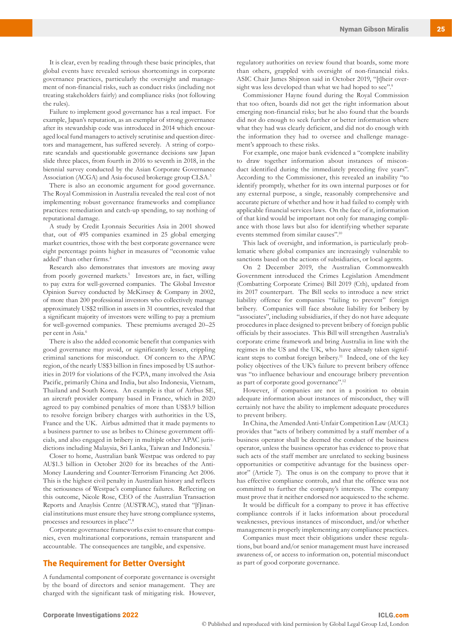It is clear, even by reading through these basic principles, that global events have revealed serious shortcomings in corporate governance practices, particularly the oversight and management of non-financial risks, such as conduct risks (including not treating stakeholders fairly) and compliance risks (not following the rules).

Failure to implement good governance has a real impact. For example, Japan's reputation, as an exemplar of strong governance after its stewardship code was introduced in 2014 which encouraged local fund managers to actively scrutinise and question directors and management, has suffered severely. A string of corporate scandals and questionable governance decisions saw Japan slide three places, from fourth in 2016 to seventh in 2018, in the biennial survey conducted by the Asian Corporate Governance Association (ACGA) and Asia-focused brokerage group CLSA.3

There is also an economic argument for good governance. The Royal Commission in Australia revealed the real cost of not implementing robust governance frameworks and compliance practices: remediation and catch-up spending, to say nothing of reputational damage.

A study by Credit Lyonnais Securities Asia in 2001 showed that, out of 495 companies examined in 25 global emerging market countries, those with the best corporate governance were eight percentage points higher in measures of "economic value added" than other firms.<sup>4</sup>

Research also demonstrates that investors are moving away from poorly governed markets.<sup>5</sup> Investors are, in fact, willing to pay extra for well-governed companies. The Global Investor Opinion Survey conducted by McKinsey & Company in 2002, of more than 200 professional investors who collectively manage approximately US\$2 trillion in assets in 31 countries, revealed that a significant majority of investors were willing to pay a premium for well-governed companies. These premiums averaged 20–25 per cent in Asia.<sup>6</sup>

There is also the added economic benefit that companies with good governance may avoid, or significantly lessen, crippling criminal sanctions for misconduct. Of concern to the APAC region, of the nearly US\$3 billion in fines imposed by US authorities in 2019 for violations of the FCPA, many involved the Asia Pacific, primarily China and India, but also Indonesia, Vietnam, Thailand and South Korea. An example is that of Airbus SE, an aircraft provider company based in France, which in 2020 agreed to pay combined penalties of more than US\$3.9 billion to resolve foreign bribery charges with authorities in the US, France and the UK. Airbus admitted that it made payments to a business partner to use as bribes to Chinese government officials, and also engaged in bribery in multiple other APAC jurisdictions including Malaysia, Sri Lanka, Taiwan and Indonesia.7

Closer to home, Australian bank Westpac was ordered to pay AU\$1.3 billion in October 2020 for its breaches of the Anti-Money Laundering and Counter-Terrorism Financing Act 2006. This is the highest civil penalty in Australian history and reflects the seriousness of Westpac's compliance failures. Reflecting on this outcome, Nicole Rose, CEO of the Australian Transaction Reports and Anaylsis Centre (AUSTRAC), stated that "[f]inancial institutions must ensure they have strong compliance systems, processes and resources in place".8

Corporate governance frameworks exist to ensure that companies, even multinational corporations, remain transparent and accountable. The consequences are tangible, and expensive.

#### The Requirement for Better Oversight

A fundamental component of corporate governance is oversight by the board of directors and senior management. They are charged with the significant task of mitigating risk. However, regulatory authorities on review found that boards, some more than others, grappled with oversight of non-financial risks. ASIC Chair James Shipton said in October 2019, "[t]heir oversight was less developed than what we had hoped to see".<sup>9</sup>

Commissioner Hayne found during the Royal Commission that too often, boards did not get the right information about emerging non-financial risks; but he also found that the boards did not do enough to seek further or better information where what they had was clearly deficient, and did not do enough with the information they had to oversee and challenge management's approach to these risks.

For example, one major bank evidenced a "complete inability to draw together information about instances of misconduct identified during the immediately preceding five years". According to the Commissioner, this revealed an inability "to identify promptly, whether for its own internal purposes or for any external purpose, a single, reasonably comprehensive and accurate picture of whether and how it had failed to comply with applicable financial services laws. On the face of it, information of that kind would be important not only for managing compliance with those laws but also for identifying whether separate events stemmed from similar causes".10

This lack of oversight, and information, is particularly problematic where global companies are increasingly vulnerable to sanctions based on the actions of subsidiaries, or local agents.

On 2 December 2019, the Australian Commonwealth Government introduced the Crimes Legislation Amendment (Combatting Corporate Crimes) Bill 2019 (Cth), updated from its 2017 counterpart. The Bill seeks to introduce a new strict liability offence for companies "failing to prevent" foreign bribery. Companies will face absolute liability for bribery by "associates", including subsidiaries, if they do not have adequate procedures in place designed to prevent bribery of foreign public officials by their associates. This Bill will strengthen Australia's corporate crime framework and bring Australia in line with the regimes in the US and the UK, who have already taken significant steps to combat foreign bribery.<sup>11</sup> Indeed, one of the key policy objectives of the UK's failure to prevent bribery offence was "to influence behaviour and encourage bribery prevention as part of corporate good governance".12

However, if companies are not in a position to obtain adequate information about instances of misconduct, they will certainly not have the ability to implement adequate procedures to prevent bribery.

In China, the Amended Anti-Unfair Competition Law (AUCL) provides that "acts of bribery committed by a staff member of a business operator shall be deemed the conduct of the business operator, unless the business operator has evidence to prove that such acts of the staff member are unrelated to seeking business opportunities or competitive advantage for the business operator" (Article 7). The onus is on the company to prove that it has effective compliance controls, and that the offence was not committed to further the company's interests. The company must prove that it neither endorsed nor acquiesced to the scheme.

It would be difficult for a company to prove it has effective compliance controls if it lacks information about procedural weaknesses, previous instances of misconduct, and/or whether management is properly implementing any compliance practices.

Companies must meet their obligations under these regulations, but board and/or senior management must have increased awareness of, or access to information on, potential misconduct as part of good corporate governance.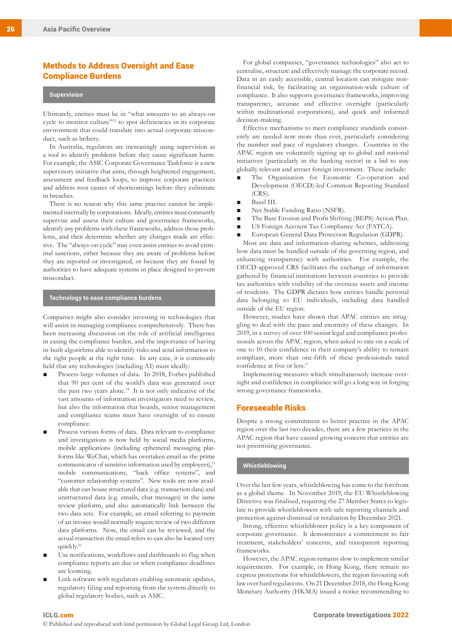#### Methods to Address Oversight and Ease Compliance Burdens

#### **Supervision**

Ultimately, entities must be in "what amounts to an always-on cycle to monitor culture"13 to spot deficiencies in its corporate environment that could translate into actual corporate misconduct, such as bribery.

In Australia, regulators are increasingly using supervision as a tool to identify problems before they cause significant harm. For example, the ASIC Corporate Governance Taskforce is a new supervisory initiative that aims, through heightened engagement, assessment and feedback loops, to improve corporate practices and address root causes of shortcomings before they culminate in breaches.

There is no reason why this same practice cannot be implemented internally by corporations. Ideally, entities must constantly supervise and assess their culture and governance frameworks, identify any problems with these frameworks, address those problems, and then determine whether any changes made are effective. The "always-on cycle" may even assist entities to avoid criminal sanctions, either because they are aware of problems before they are reported or investigated, or because they are found by authorities to have adequate systems in place designed to prevent misconduct.

#### **Technology to ease compliance burdens**

Companies might also consider investing in technologies that will assist in managing compliance comprehensively. There has been increasing discussion on the role of artificial intelligence in easing the compliance burden, and the importance of having in-built algorithms able to identify risks and send information to the right people at the right time. In any case, it is commonly held that any technologies (including AI) must ideally:

- Process large volumes of data. In 2018, Forbes published that 90 per cent of the world's data was generated over the past two years alone.14 It is not only indicative of the vast amounts of information investigators need to review, but also the information that boards, senior management and compliance teams must have oversight of to ensure compliance.
- Process various forms of data. Data relevant to compliance and investigations is now held by social media platforms, mobile applications (including ephemeral messaging platforms like WeChat, which has overtaken email as the prime communicator of sensitive information used by employees),<sup>15</sup> mobile communications, "back office systems", and "customer relationship systems". New tools are now available that can house structured data (e.g. transaction data) and unstructured data (e.g. emails, chat messages) in the same review platform, and also automatically link between the two data sets. For example, an email referring to payment of an invoice would normally require review of two different data platforms. Now, the email can be reviewed, and the actual transaction the email refers to can also be located very quickly.16
- Use notifications, workflows and dashboards to flag when compliance reports are due or when compliance deadlines are looming.
- Link software with regulators enabling automatic updates, regulatory filing and reporting from the system directly to global regulatory bodies, such as ASIC.

For global companies, "governance technologies" also act to centralise, structure and effectively manage the corporate record. Data in an easily accessible, central location can mitigate nonfinancial risk, by facilitating an organisation-wide culture of compliance. It also supports governance frameworks, improving transparency, accurate and effective oversight (particularly within multinational corporations), and quick and informed decision-making.

Effective mechanisms to meet compliance standards consistently are needed now more than ever, particularly considering the number and pace of regulatory changes. Countries in the APAC region are voluntarily signing up to global and national initiatives (particularly in the banking sector) in a bid to stay globally relevant and attract foreign investment. These include:

- The Organisation for Economic Co-operation and Development (OECD)-led Common Reporting Standard (CRS).
- Basel III.
- Net Stable Funding Ratio (NSFR).
- The Base Erosion and Profit Shifting (BEPS) Action Plan.
- US Foreign Account Tax Compliance Act (FATCA).
- European General Data Protection Regulation (GDPR).

Most are data and information-sharing schemes, addressing how data must be handled outside of the governing region, and enhancing transparency with authorities. For example, the OECD-approved CRS facilitates the exchange of information gathered by financial institutions between countries to provide tax authorities with visibility of the overseas assets and income of residents. The GDPR dictates how entities handle personal data belonging to EU individuals, including data handled outside of the EU region.

However, studies have shown that APAC entities are struggling to deal with the pace and enormity of these changes. In 2019, in a survey of over 100 senior legal and compliance professionals across the APAC region, when asked to rate on a scale of one to 10 their confidence in their company's ability to remain compliant, more than one-fifth of these professionals rated confidence at five or less.17

Implementing measures which simultaneously increase oversight and confidence in compliance will go a long way in forging strong governance frameworks.

#### Foreseeable Risks

Despite a strong commitment to better practice in the APAC region over the last two decades, there are a few practices in the APAC region that have caused growing concern that entities are not prioritising governance.

#### **Whistleblowing**

Over the last few years, whistleblowing has come to the forefront as a global theme. In November 2019, the EU Whistleblowing Directive was finalised, requiring the 27 Member States to legislate to provide whistleblowers with safe reporting channels and protection against dismissal or retaliation by December 2021.

Strong, effective whistleblower policy is a key component of corporate governance. It demonstrates a commitment to fair treatment, stakeholders' concerns, and transparent reporting frameworks.

However, the APAC region remains slow to implement similar requirements. For example, in Hong Kong, there remain no express protections for whistleblowers, the region favouring soft law over hard regulations. On 21 December 2018, the Hong Kong Monetary Authority (HKMA) issued a notice recommending to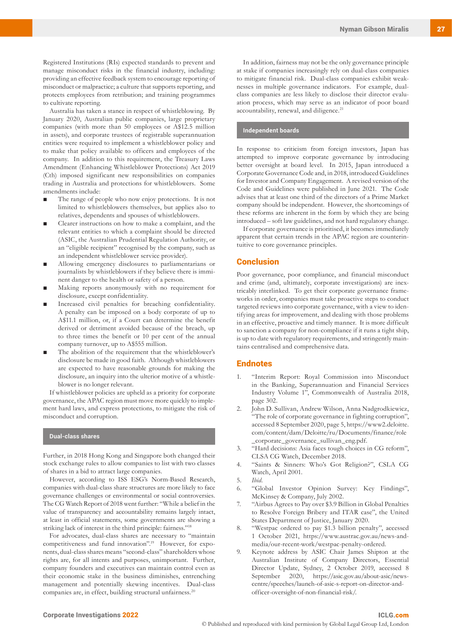Registered Institutions (RIs) expected standards to prevent and manage misconduct risks in the financial industry, including: providing an effective feedback system to encourage reporting of misconduct or malpractice; a culture that supports reporting, and protects employees from retribution; and training programmes to cultivate reporting.

Australia has taken a stance in respect of whistleblowing. By January 2020, Australian public companies, large proprietary companies (with more than 50 employees or A\$12.5 million in assets), and corporate trustees of registrable superannuation entities were required to implement a whistleblower policy and to make that policy available to officers and employees of the company. In addition to this requirement, the Treasury Laws Amendment (Enhancing Whistleblower Protections) Act 2019 (Cth) imposed significant new responsibilities on companies trading in Australia and protections for whistleblowers. Some amendments include:

- The range of people who now enjoy protections. It is not limited to whistleblowers themselves, but applies also to relatives, dependents and spouses of whistleblowers.
- Clearer instructions on how to make a complaint, and the relevant entities to which a complaint should be directed (ASIC, the Australian Prudential Regulation Authority, or an "eligible recipient" recognised by the company, such as an independent whistleblower service provider).
- Allowing emergency disclosures to parliamentarians or journalists by whistleblowers if they believe there is imminent danger to the health or safety of a person.
- Making reports anonymously with no requirement for disclosure, except confidentiality.
- Increased civil penalties for breaching confidentiality. A penalty can be imposed on a body corporate of up to A\$11.1 million, or, if a Court can determine the benefit derived or detriment avoided because of the breach, up to three times the benefit or 10 per cent of the annual company turnover, up to A\$555 million.
- The abolition of the requirement that the whistleblower's disclosure be made in good faith. Although whistleblowers are expected to have reasonable grounds for making the disclosure, an inquiry into the ulterior motive of a whistleblower is no longer relevant.

If whistleblower policies are upheld as a priority for corporate governance, the APAC region must move more quickly to implement hard laws, and express protections, to mitigate the risk of misconduct and corruption.

#### **Dual-class shares**

Further, in 2018 Hong Kong and Singapore both changed their stock exchange rules to allow companies to list with two classes of shares in a bid to attract large companies.

However, according to ISS ESG's Norm-Based Research, companies with dual-class share structures are more likely to face governance challenges or environmental or social controversies. The CG Watch Report of 2018 went further: "While a belief in the value of transparency and accountability remains largely intact, at least in official statements, some governments are showing a striking lack of interest in the third principle: fairness."18

For advocates, dual-class shares are necessary to "maintain competitiveness and fund innovation".<sup>19</sup> However, for exponents, dual-class shares means "second-class" shareholders whose rights are, for all intents and purposes, unimportant. Further, company founders and executives can maintain control even as their economic stake in the business diminishes, entrenching management and potentially skewing incentives. Dual-class companies are, in effect, building structural unfairness.<sup>20</sup>

In addition, fairness may not be the only governance principle at stake if companies increasingly rely on dual-class companies to mitigate financial risk. Dual-class companies exhibit weaknesses in multiple governance indicators. For example, dualclass companies are less likely to disclose their director evaluation process, which may serve as an indicator of poor board accountability, renewal, and diligence.<sup>21</sup>

#### **Independent boards**

In response to criticism from foreign investors, Japan has attempted to improve corporate governance by introducing better oversight at board level. In 2015, Japan introduced a Corporate Governance Code and, in 2018, introduced Guidelines for Investor and Company Engagement. A revised version of the Code and Guidelines were published in June 2021. The Code advises that at least one third of the directors of a Prime Market company should be independent. However, the shortcomings of these reforms are inherent in the form by which they are being introduced – soft law guidelines, and not hard regulatory change.

If corporate governance is prioritised, it becomes immediately apparent that certain trends in the APAC region are counterintuitive to core governance principles.

#### **Conclusion**

Poor governance, poor compliance, and financial misconduct and crime (and, ultimately, corporate investigations) are inextricably interlinked. To get their corporate governance frameworks in order, companies must take proactive steps to conduct targeted reviews into corporate governance, with a view to identifying areas for improvement, and dealing with those problems in an effective, proactive and timely manner. It is more difficult to sanction a company for non-compliance if it runs a tight ship, is up to date with regulatory requirements, and stringently maintains centralised and comprehensive data.

#### **Endnotes**

- 1. "Interim Report: Royal Commission into Misconduct in the Banking, Superannuation and Financial Services Industry Volume 1", Commonwealth of Australia 2018, page 302.
- 2. John D. Sullivan, Andrew Wilson, Anna Nadgrodkiewicz, "The role of corporate governance in fighting corruption", accessed 8 September 2020, page 5, https://www2.deloitte. com/content/dam/Deloitte/ru/Documents/finance/role \_corporate\_governance\_sullivan\_eng.pdf.
- 3. "Hard decisions: Asia faces tough choices in CG reform", CLSA CG Watch, December 2018.
- 4. "Saints & Sinners: Who's Got Religion?", CSLA CG Watch, April 2001.
- 5. *Ibid.*
- 6. "Global Investor Opinion Survey: Key Findings", McKinsey & Company, July 2002.
- 7. "Airbus Agrees to Pay over \$3.9 Billion in Global Penalties to Resolve Foreign Bribery and ITAR case", the United States Department of Justice, January 2020.
- 8. "Westpac ordered to pay \$1.3 billion penalty", accessed 1 October 2021, [https://www.austrac.gov.au/news-and](https://www.austrac.gov.au/news-and-media/our-recent-work/westpac-penalty-ordered)[media/our-recent-work/westpac-penalty-ordered.](https://www.austrac.gov.au/news-and-media/our-recent-work/westpac-penalty-ordered)
- 9. Keynote address by ASIC Chair James Shipton at the Australian Institute of Company Directors, Essential Director Update, Sydney, 2 October 2019, accessed 8 September 2020, https://asic.gov.au/about-asic/newscentre/speeches/launch-of-asic-s-report-on-director-andofficer-oversight-of-non-financial-risk/.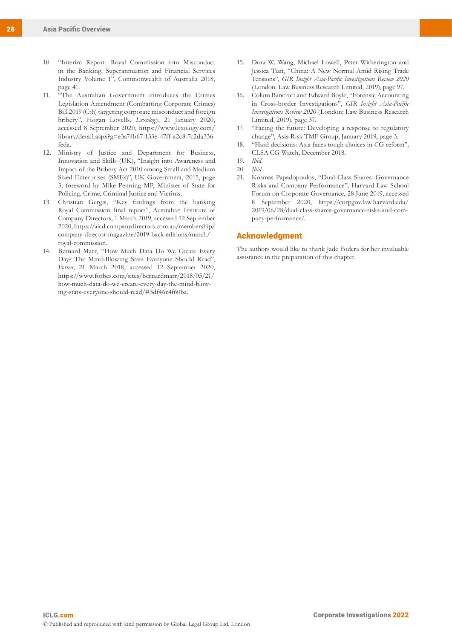- 10. "Interim Report: Royal Commission into Misconduct in the Banking, Superannuation and Financial Services Industry Volume 1", Commonwealth of Australia 2018, page 41.
- 11. "The Australian Government introduces the Crimes Legislation Amendment (Combatting Corporate Crimes) Bill 2019 (Cth) targeting corporate misconduct and foreign bribery", Hogan Lovells, *Lexology*, 21 January 2020, accessed 8 September 2020, https://www.lexology.com/ library/detail.aspx?g=e3a74b67-133e-47ff-a2c8-7c2da336 feda.
- 12. Ministry of Justice and Department for Business, Innovation and Skills (UK), "Insight into Awareness and Impact of the Bribery Act 2010 among Small and Medium Sized Enterprises (SMEs)", UK Government, 2015, page 3, foreword by Mike Penning MP, Minister of State for Policing, Crime, Criminal Justice and Victims.
- 13. Christian Gergis, "Key findings from the banking Royal Commission final report", Australian Institute of Company Directors, 1 March 2019, accessed 12 September 2020, https://aicd.companydirectors.com.au/membership/ company-director-magazine/2019-back-editions/march/ royal-commission.
- 14. Bernard Marr, "How Much Data Do We Create Every Day? The Mind-Blowing Stats Everyone Should Read", *Forbes*, 21 March 2018, accessed 12 September 2020, https://www.forbes.com/sites/bernardmarr/2018/05/21/ how-much-data-do-we-create-every-day-the-mind-blowing-stats-everyone-should-read/#3df46c4f60ba.
- 15. Dora W. Wang, Michael Lowell, Peter Witherington and Jessica Tian, "China: A New Normal Amid Rising Trade Tensions", *GIR Insight Asia-Pacific Investigations Review 2020*  (London: Law Business Research Limited, 2019), page 97.
- 16. Colum Bancroft and Edward Boyle, "Forensic Accounting in Cross-border Investigations", *GIR Insight Asia-Pacific Investigations Review 2020* (London: Law Business Research Limited, 2019), page 37.
- 17. "Facing the future: Developing a response to regulatory change", Asia Risk TMF Group, January 2019, page 3.
- 18. "Hard decisions: Asia faces tough choices in CG reform", CLSA CG Watch, December 2018.
- 19. *Ibid.*
- 20. *Ibid.*
- 21. Kosmas Papadopoulos, "Dual-Class Shares: Governance Risks and Company Performance", Harvard Law School Forum on Corporate Governance, 28 June 2019, accessed 8 September 2020, https://corpgov.law.harvard.edu/ 2019/06/28/dual-class-shares-governance-risks-and-company-performance/.

#### Acknowledgment

The authors would like to thank Jade Fodera for her invaluable assistance in the preparation of this chapter.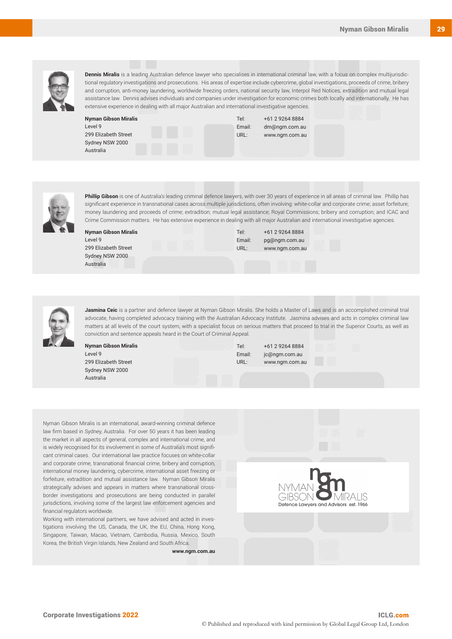**Dennis Miralis** is a leading Australian defence lawyer who specialises in international criminal law, with a focus on complex multijurisdictional regulatory investigations and prosecutions. His areas of expertise include cybercrime, global investigations, proceeds of crime, bribery and corruption, anti-money laundering, worldwide freezing orders, national security law, Interpol Red Notices, extradition and mutual legal assistance law. Dennis advises individuals and companies under investigation for economic crimes both locally and internationally. He has extensive experience in dealing with all major Australian and international investigative agencies.

| <b>Nyman Gibson Miralis</b> |  |  |
|-----------------------------|--|--|
| Level 9                     |  |  |
| 299 Elizabeth Street        |  |  |
| Sydney NSW 2000             |  |  |
| Australia                   |  |  |

Tel: +61 2 9264 8884 Email: dm@ngm.com.au URL: www.ngm.com.au



**Phillip Gibson** is one of Australia's leading criminal defence lawyers, with over 30 years of experience in all areas of criminal law. Phillip has significant experience in transnational cases across multiple jurisdictions, often involving: white-collar and corporate crime; asset forfeiture; money laundering and proceeds of crime; extradition; mutual legal assistance; Royal Commissions; bribery and corruption; and ICAC and Crime Commission matters. He has extensive experience in dealing with all major Australian and international investigative agencies.

**Nyman Gibson Miralis** Level 9 299 Elizabeth Street Sydney NSW 2000 Australia

Tel: +61 2 9264 8884 Email: pg@ngm.com.au URL: www.ngm.com.au



**Jasmina Ceic** is a partner and defence lawyer at Nyman Gibson Miralis. She holds a Master of Laws and is an accomplished criminal trial advocate, having completed advocacy training with the Australian Advocacy Institute. Jasmina advises and acts in complex criminal law matters at all levels of the court system, with a specialist focus on serious matters that proceed to trial in the Superior Courts, as well as conviction and sentence appeals heard in the Court of Criminal Appeal.

**Nyman Gibson Miralis** Level 9 299 Elizabeth Street Sydney NSW 2000 Australia

Tel: +61 2 9264 8884 Email: jc@ngm.com.au URL: www.ngm.com.au

Nyman Gibson Miralis is an international, award-winning criminal defence law firm based in Sydney, Australia. For over 50 years it has been leading the market in all aspects of general, complex and international crime, and is widely recognised for its involvement in some of Australia's most significant criminal cases. Our international law practice focuses on white-collar and corporate crime, transnational financial crime, bribery and corruption, international money laundering, cybercrime, international asset freezing or forfeiture, extradition and mutual assistance law. Nyman Gibson Miralis strategically advises and appears in matters where transnational crossborder investigations and prosecutions are being conducted in parallel jurisdictions, involving some of the largest law enforcement agencies and financial regulators worldwide.

Working with international partners, we have advised and acted in investigations involving the US, Canada, the UK, the EU, China, Hong Kong, Singapore, Taiwan, Macao, Vietnam, Cambodia, Russia, Mexico, South Korea, the British Virgin Islands, New Zealand and South Africa.

**www.ngm.com.au**